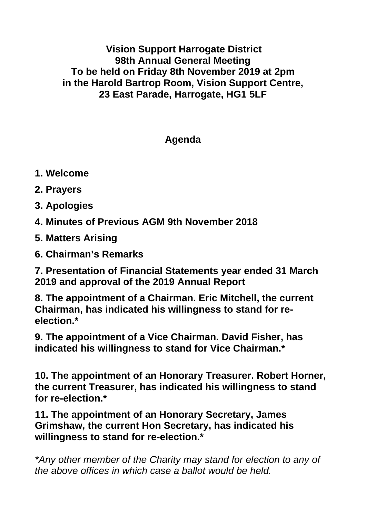**Vision Support Harrogate District 98th Annual General Meeting To be held on Friday 8th November 2019 at 2pm in the Harold Bartrop Room, Vision Support Centre, 23 East Parade, Harrogate, HG1 5LF**

## **Agenda**

- **1. Welcome**
- **2. Prayers**
- **3. Apologies**
- **4. Minutes of Previous AGM 9th November 2018**
- **5. Matters Arising**
- **6. Chairman's Remarks**

**7. Presentation of Financial Statements year ended 31 March 2019 and approval of the 2019 Annual Report**

**8. The appointment of a Chairman. Eric Mitchell, the current Chairman, has indicated his willingness to stand for reelection.\***

**9. The appointment of a Vice Chairman. David Fisher, has indicated his willingness to stand for Vice Chairman.\***

**10. The appointment of an Honorary Treasurer. Robert Horner, the current Treasurer, has indicated his willingness to stand for re-election.\***

**11. The appointment of an Honorary Secretary, James Grimshaw, the current Hon Secretary, has indicated his willingness to stand for re-election.\***

*\*Any other member of the Charity may stand for election to any of the above offices in which case a ballot would be held.*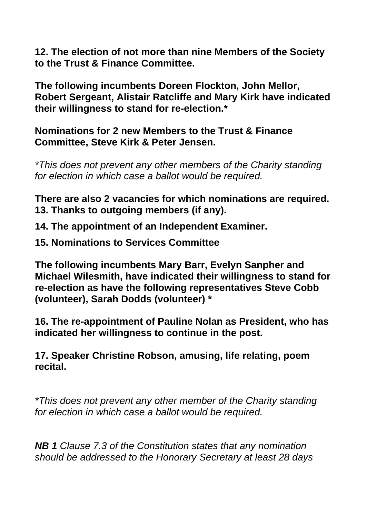**12. The election of not more than nine Members of the Society to the Trust & Finance Committee.**

**The following incumbents Doreen Flockton, John Mellor, Robert Sergeant, Alistair Ratcliffe and Mary Kirk have indicated their willingness to stand for re-election.\***

**Nominations for 2 new Members to the Trust & Finance Committee, Steve Kirk & Peter Jensen.**

*\*This does not prevent any other members of the Charity standing for election in which case a ballot would be required.*

**There are also 2 vacancies for which nominations are required. 13. Thanks to outgoing members (if any).**

**14. The appointment of an Independent Examiner.**

**15. Nominations to Services Committee**

**The following incumbents Mary Barr, Evelyn Sanpher and Michael Wilesmith, have indicated their willingness to stand for re-election as have the following representatives Steve Cobb (volunteer), Sarah Dodds (volunteer) \***

**16. The re-appointment of Pauline Nolan as President, who has indicated her willingness to continue in the post.**

**17. Speaker Christine Robson, amusing, life relating, poem recital.**

*\*This does not prevent any other member of the Charity standing for election in which case a ballot would be required.*

*NB 1 Clause 7.3 of the Constitution states that any nomination should be addressed to the Honorary Secretary at least 28 days*